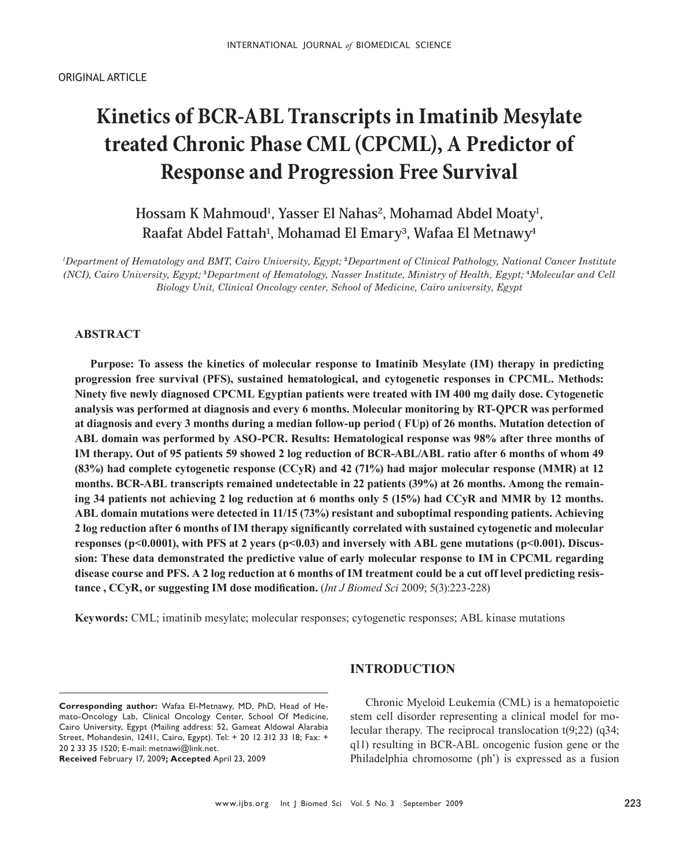# **Kinetics of BCR-ABL Transcripts in Imatinib Mesylate treated Chronic Phase CML (CPCML), A Predictor of Response and Progression Free Survival**

**Hossam K Mahmoud1, Yasser El Nahas2, Mohamad Abdel Moaty1, Raafat Abdel Fattah1, Mohamad El Emary3, Wafaa El Metnawy4**

*1 Department of Hematology and BMT, Cairo University, Egypt;* **2***Department of Clinical Pathology, National Cancer Institute (NCI), Cairo University, Egypt;* **3***Department of Hematology, Nasser Institute, Ministry of Health, Egypt;* **4***Molecular and Cell Biology Unit, Clinical Oncology center, School of Medicine, Cairo university, Egypt*

# **ABSTRACT**

**Purpose: To assess the kinetics of molecular response to Imatinib Mesylate (IM) therapy in predicting progression free survival (PFS), sustained hematological, and cytogenetic responses in CPCML. Methods: Ninety fve newly diagnosed CPCML Egyptian patients were treated with IM 400 mg daily dose. Cytogenetic analysis was performed at diagnosis and every 6 months. Molecular monitoring by RT-QPCR was performed at diagnosis and every 3 months during a median follow-up period ( FUp) of 26 months. Mutation detection of ABL domain was performed by ASO-PCR. Results: Hematological response was 98% after three months of IM therapy. Out of 95 patients 59 showed 2 log reduction of BCR-ABL/ABL ratio after 6 months of whom 49 (83%) had complete cytogenetic response (CCyR) and 42 (71%) had major molecular response (MMR) at 12 months. BCR-ABL transcripts remained undetectable in 22 patients (39%) at 26 months. Among the remaining 34 patients not achieving 2 log reduction at 6 months only 5 (15%) had CCyR and MMR by 12 months. ABL domain mutations were detected in 11/15 (73%) resistant and suboptimal responding patients. Achieving 2 log reduction after 6 months of IM therapy signifcantly correlated with sustained cytogenetic and molecular responses (p<0.0001), with PFS at 2 years (p<0.03) and inversely with ABL gene mutations (p<0.001). Discussion: These data demonstrated the predictive value of early molecular response to IM in CPCML regarding disease course and PFS. A 2 log reduction at 6 months of IM treatment could be a cut off level predicting resistance , CCyR, or suggesting IM dose modifcation.** (*Int J Biomed Sci* 2009; 5(3):223-228)

**Keywords:** CML; imatinib mesylate; molecular responses; cytogenetic responses; ABL kinase mutations

# **INTRODUCTION**

**Received** February 17, 2009**; Accepted** April 23, 2009

Chronic Myeloid Leukemia (CML) is a hematopoietic stem cell disorder representing a clinical model for molecular therapy. The reciprocal translocation t(9;22) (q34; q11) resulting in BCR-ABL oncogenic fusion gene or the Philadelphia chromosome (ph') is expressed as a fusion

**Corresponding author:** Wafaa El-Metnawy, MD, PhD, Head of Hemato-Oncology Lab, Clinical Oncology Center, School Of Medicine, Cairo University, Egypt (Mailing address: 52, Gameat Aldowal Alarabia Street, Mohandesin, 12411, Cairo, Egypt). Tel: + 20 12 312 33 18; Fax: + 20 2 33 35 1520; E-mail: metnawi@link.net.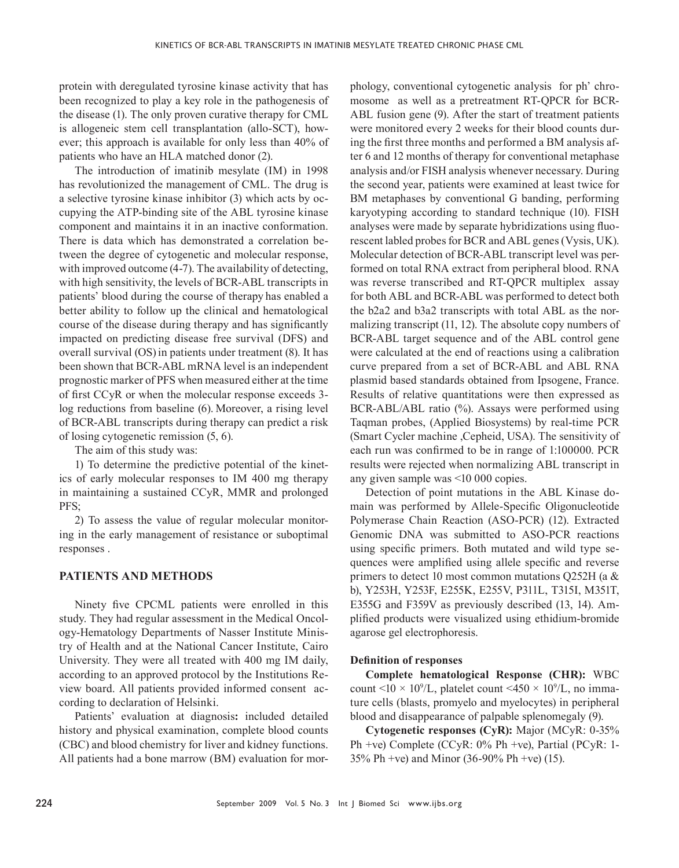protein with deregulated tyrosine kinase activity that has been recognized to play a key role in the pathogenesis of the disease (1). The only proven curative therapy for CML is allogeneic stem cell transplantation (allo-SCT), however; this approach is available for only less than 40% of patients who have an HLA matched donor (2).

The introduction of imatinib mesylate (IM) in 1998 has revolutionized the management of CML. The drug is a selective tyrosine kinase inhibitor (3) which acts by occupying the ATP-binding site of the ABL tyrosine kinase component and maintains it in an inactive conformation. There is data which has demonstrated a correlation between the degree of cytogenetic and molecular response, with improved outcome (4-7). The availability of detecting, with high sensitivity, the levels of BCR-ABL transcripts in patients' blood during the course of therapy has enabled a better ability to follow up the clinical and hematological course of the disease during therapy and has signifcantly impacted on predicting disease free survival (DFS) and overall survival (OS)in patients under treatment (8). It has been shown that BCR-ABL mRNA level is an independent prognostic marker of PFS when measured either at the time of frst CCyR or when the molecular response exceeds 3 log reductions from baseline (6). Moreover, a rising level of BCR-ABL transcripts during therapy can predict a risk of losing cytogenetic remission (5, 6).

The aim of this study was:

1) To determine the predictive potential of the kinetics of early molecular responses to IM 400 mg therapy in maintaining a sustained CCyR, MMR and prolonged PFS;

2) To assess the value of regular molecular monitoring in the early management of resistance or suboptimal responses .

# **PATIENTS AND METHODS**

Ninety fve CPCML patients were enrolled in this study. They had regular assessment in the Medical Oncology-Hematology Departments of Nasser Institute Ministry of Health and at the National Cancer Institute, Cairo University. They were all treated with 400 mg IM daily, according to an approved protocol by the Institutions Review board. All patients provided informed consent according to declaration of Helsinki.

Patients' evaluation at diagnosis**:** included detailed history and physical examination, complete blood counts (CBC) and blood chemistry for liver and kidney functions. All patients had a bone marrow (BM) evaluation for morphology, conventional cytogenetic analysis for ph' chromosome as well as a pretreatment RT-QPCR for BCR-ABL fusion gene (9). After the start of treatment patients were monitored every 2 weeks for their blood counts during the frst three months and performed a BM analysis after 6 and 12 months of therapy for conventional metaphase analysis and/or FISH analysis whenever necessary. During the second year, patients were examined at least twice for BM metaphases by conventional G banding, performing karyotyping according to standard technique (10). FISH analyses were made by separate hybridizations using fuorescent labled probes for BCR and ABL genes (Vysis, UK). Molecular detection of BCR-ABL transcript level was performed on total RNA extract from peripheral blood. RNA was reverse transcribed and RT-QPCR multiplex assay for both ABL and BCR-ABL was performed to detect both the b2a2 and b3a2 transcripts with total ABL as the normalizing transcript (11, 12). The absolute copy numbers of BCR-ABL target sequence and of the ABL control gene were calculated at the end of reactions using a calibration curve prepared from a set of BCR-ABL and ABL RNA plasmid based standards obtained from Ipsogene, France. Results of relative quantitations were then expressed as BCR-ABL/ABL ratio (%). Assays were performed using Taqman probes, (Applied Biosystems) by real-time PCR (Smart Cycler machine ,Cepheid, USA). The sensitivity of each run was confrmed to be in range of 1:100000. PCR results were rejected when normalizing ABL transcript in any given sample was <10 000 copies.

Detection of point mutations in the ABL Kinase domain was performed by Allele-Specifc Oligonucleotide Polymerase Chain Reaction (ASO-PCR) (12). Extracted Genomic DNA was submitted to ASO-PCR reactions using specifc primers. Both mutated and wild type sequences were amplifed using allele specifc and reverse primers to detect 10 most common mutations Q252H (a & b), Y253H, Y253F, E255K, E255V, P311L, T315I, M351T, E355G and F359V as previously described (13, 14). Amplifed products were visualized using ethidium-bromide agarose gel electrophoresis.

#### **Defnition of responses**

**Complete hematological Response (CHR):** WBC count <10  $\times$  10<sup>9</sup>/L, platelet count <450  $\times$  10<sup>9</sup>/L, no immature cells (blasts, promyelo and myelocytes) in peripheral blood and disappearance of palpable splenomegaly (9).

**Cytogenetic responses (CyR):** Major (MCyR: 0-35% Ph +ve) Complete (CCyR: 0% Ph +ve), Partial (PCyR: 1- 35% Ph +ve) and Minor (36-90% Ph +ve) (15).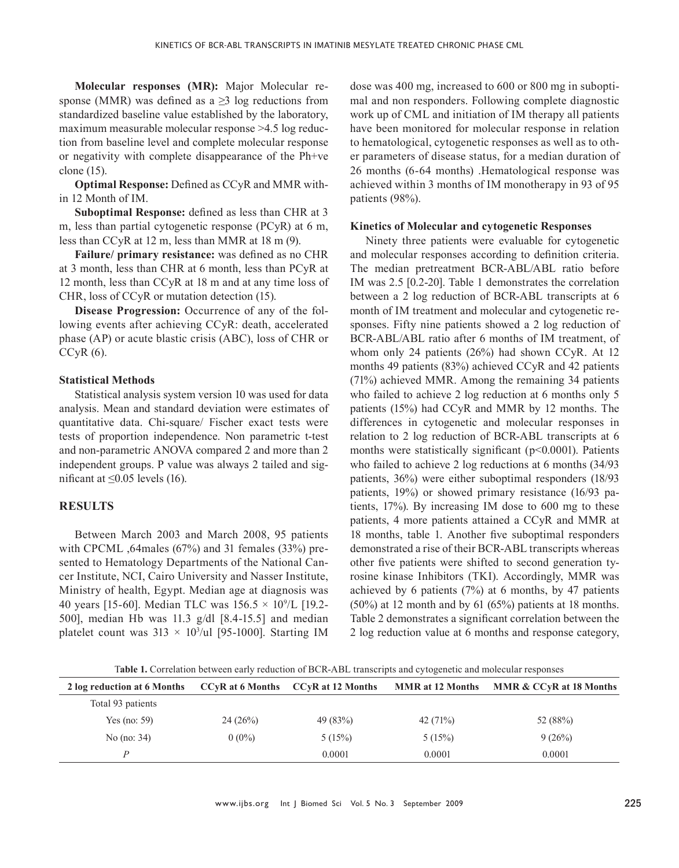**Molecular responses (MR):** Major Molecular response (MMR) was defined as a  $\geq$ 3 log reductions from standardized baseline value established by the laboratory, maximum measurable molecular response >4.5 log reduction from baseline level and complete molecular response or negativity with complete disappearance of the Ph+ve clone (15).

**Optimal Response:** Defned as CCyR and MMR within 12 Month of IM.

**Suboptimal Response:** defned as less than CHR at 3 m, less than partial cytogenetic response (PCyR) at 6 m, less than CCyR at 12 m, less than MMR at 18 m (9).

**Failure/ primary resistance:** was defned as no CHR at 3 month, less than CHR at 6 month, less than PCyR at 12 month, less than CCyR at 18 m and at any time loss of CHR, loss of CCyR or mutation detection (15).

**Disease Progression:** Occurrence of any of the following events after achieving CCyR: death, accelerated phase (AP) or acute blastic crisis (ABC), loss of CHR or  $CCyR(6)$ .

# **Statistical Methods**

Statistical analysis system version 10 was used for data analysis. Mean and standard deviation were estimates of quantitative data. Chi-square/ Fischer exact tests were tests of proportion independence. Non parametric t-test and non-parametric ANOVA compared 2 and more than 2 independent groups. P value was always 2 tailed and significant at  $\leq$ 0.05 levels (16).

# **RESULTS**

Between March 2003 and March 2008, 95 patients with CPCML ,64males (67%) and 31 females (33%) presented to Hematology Departments of the National Cancer Institute, NCI, Cairo University and Nasser Institute, Ministry of health, Egypt. Median age at diagnosis was 40 years [15-60]. Median TLC was  $156.5 \times 10^{9}$ /L [19.2-500], median Hb was 11.3 g/dl [8.4-15.5] and median platelet count was  $313 \times 10^3$ /ul [95-1000]. Starting IM dose was 400 mg, increased to 600 or 800 mg in suboptimal and non responders. Following complete diagnostic work up of CML and initiation of IM therapy all patients have been monitored for molecular response in relation to hematological, cytogenetic responses as well as to other parameters of disease status, for a median duration of 26 months (6-64 months) .Hematological response was achieved within 3 months of IM monotherapy in 93 of 95 patients (98%).

# **Kinetics of Molecular and cytogenetic Responses**

Ninety three patients were evaluable for cytogenetic and molecular responses according to defnition criteria. The median pretreatment BCR-ABL/ABL ratio before IM was 2.5 [0.2-20]. Table 1 demonstrates the correlation between a 2 log reduction of BCR-ABL transcripts at 6 month of IM treatment and molecular and cytogenetic responses. Fifty nine patients showed a 2 log reduction of BCR-ABL/ABL ratio after 6 months of IM treatment, of whom only 24 patients (26%) had shown CCyR. At 12 months 49 patients (83%) achieved CCyR and 42 patients (71%) achieved MMR. Among the remaining 34 patients who failed to achieve 2 log reduction at 6 months only 5 patients (15%) had CCyR and MMR by 12 months. The differences in cytogenetic and molecular responses in relation to 2 log reduction of BCR-ABL transcripts at 6 months were statistically significant (p<0.0001). Patients who failed to achieve 2 log reductions at 6 months (34/93 patients, 36%) were either suboptimal responders (18/93 patients, 19%) or showed primary resistance (16/93 patients, 17%). By increasing IM dose to 600 mg to these patients, 4 more patients attained a CCyR and MMR at 18 months, table 1. Another fve suboptimal responders demonstrated a rise of their BCR-ABL transcripts whereas other fve patients were shifted to second generation tyrosine kinase Inhibitors (TKI). Accordingly, MMR was achieved by 6 patients (7%) at 6 months, by 47 patients  $(50\%)$  at 12 month and by 61  $(65\%)$  patients at 18 months. Table 2 demonstrates a signifcant correlation between the 2 log reduction value at 6 months and response category,

T**able 1.** Correlation between early reduction of BCR-ABL transcripts and cytogenetic and molecular responses

| 2 log reduction at 6 Months |          | CCyR at 6 Months CCyR at 12 Months | <b>MMR</b> at 12 Months | MMR & CCyR at 18 Months |
|-----------------------------|----------|------------------------------------|-------------------------|-------------------------|
| Total 93 patients           |          |                                    |                         |                         |
| Yes (no: 59)                | 24(26%)  | 49 (83%)                           | 42 $(71%)$              | 52 (88%)                |
| No $(no: 34)$               | $0(0\%)$ | 5(15%)                             | 5(15%)                  | 9(26%)                  |
| $\boldsymbol{p}$            |          | 0.0001                             | 0.0001                  | 0.0001                  |
|                             |          |                                    |                         |                         |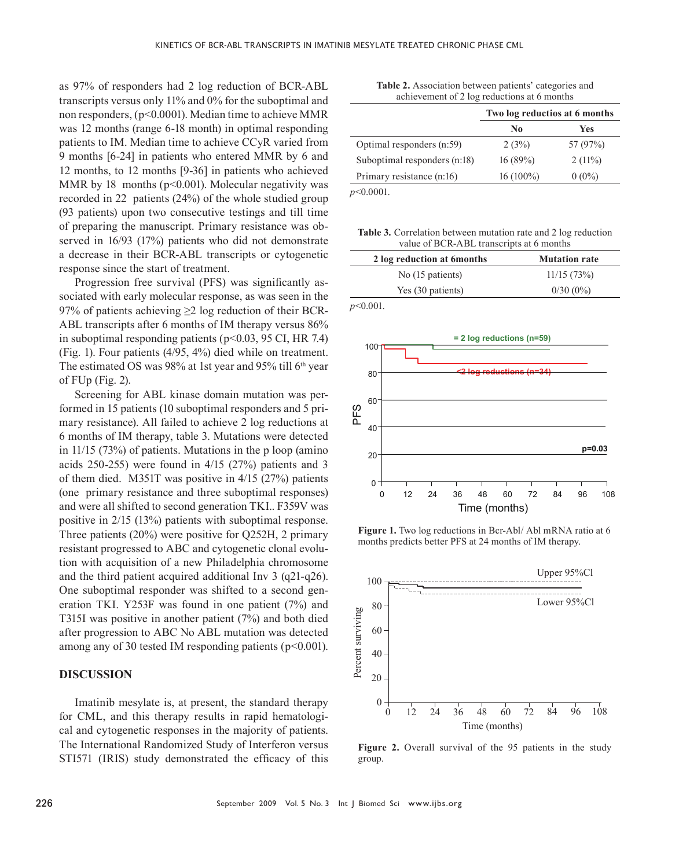as 97% of responders had 2 log reduction of BCR-ABL transcripts versus only 11% and 0% for the suboptimal and non responders, (p<0.0001). Median time to achieve MMR was 12 months (range 6-18 month) in optimal responding patients to IM. Median time to achieve CCyR varied from 9 months [6-24] in patients who entered MMR by 6 and 12 months, to 12 months [9-36] in patients who achieved MMR by 18 months ( $p<0.001$ ). Molecular negativity was recorded in 22 patients (24%) of the whole studied group (93 patients) upon two consecutive testings and till time of preparing the manuscript. Primary resistance was observed in 16/93 (17%) patients who did not demonstrate a decrease in their BCR-ABL transcripts or cytogenetic response since the start of treatment.

Progression free survival (PFS) was signifcantly associated with early molecular response, as was seen in the 97% of patients achieving  $\geq$  2 log reduction of their BCR-ABL transcripts after 6 months of IM therapy versus 86% in suboptimal responding patients ( $p<0.03$ , 95 CI, HR 7.4) (Fig. 1). Four patients (4/95, 4%) died while on treatment. The estimated OS was 98% at 1st year and 95% till  $6<sup>th</sup>$  year of FUp (Fig. 2).

Screening for ABL kinase domain mutation was performed in 15 patients (10 suboptimal responders and 5 primary resistance). All failed to achieve 2 log reductions at 6 months of IM therapy, table 3. Mutations were detected in 11/15 (73%) of patients. Mutations in the p loop (amino acids 250-255) were found in 4/15 (27%) patients and 3 of them died. M351T was positive in 4/15 (27%) patients (one primary resistance and three suboptimal responses) and were all shifted to second generation TKI.. F359V was positive in 2/15 (13%) patients with suboptimal response. Three patients (20%) were positive for Q252H, 2 primary resistant progressed to ABC and cytogenetic clonal evolution with acquisition of a new Philadelphia chromosome and the third patient acquired additional Inv 3 (q21-q26). One suboptimal responder was shifted to a second generation TKI. Y253F was found in one patient (7%) and T315I was positive in another patient (7%) and both died after progression to ABC No ABL mutation was detected among any of 30 tested IM responding patients ( $p<0.001$ ).

#### **DISCUSSION**

Imatinib mesylate is, at present, the standard therapy for CML, and this therapy results in rapid hematological and cytogenetic responses in the majority of patients. The International Randomized Study of Interferon versus STI571 (IRIS) study demonstrated the efficacy of this

| <b>Table 2.</b> Association between patients' categories and |  |  |
|--------------------------------------------------------------|--|--|
| achievement of 2 log reductions at 6 months                  |  |  |

| Two log reductios at 6 months |           |
|-------------------------------|-----------|
| No                            | Yes       |
| 2(3%)                         | 57 (97%)  |
| $16(89\%)$                    | $2(11\%)$ |
| $16(100\%)$                   | $0(0\%)$  |
|                               |           |

**Table 3***.* Correlation between mutation rate and 2 log reduction value of BCR-ABL transcripts at 6 months

| 2 log reduction at 6 months | <b>Mutation rate</b> |
|-----------------------------|----------------------|
| No (15 patients)            | 11/15(73%)           |
| Yes (30 patients)           | $0/30(0\%)$          |

*p*<0.001.



**Figure 1.** Two log reductions in Bcr-Abl/ Abl mRNA ratio at 6 months predicts better PFS at 24 months of IM therapy.



**Figure 2.** Overall survival of the 95 patients in the study group.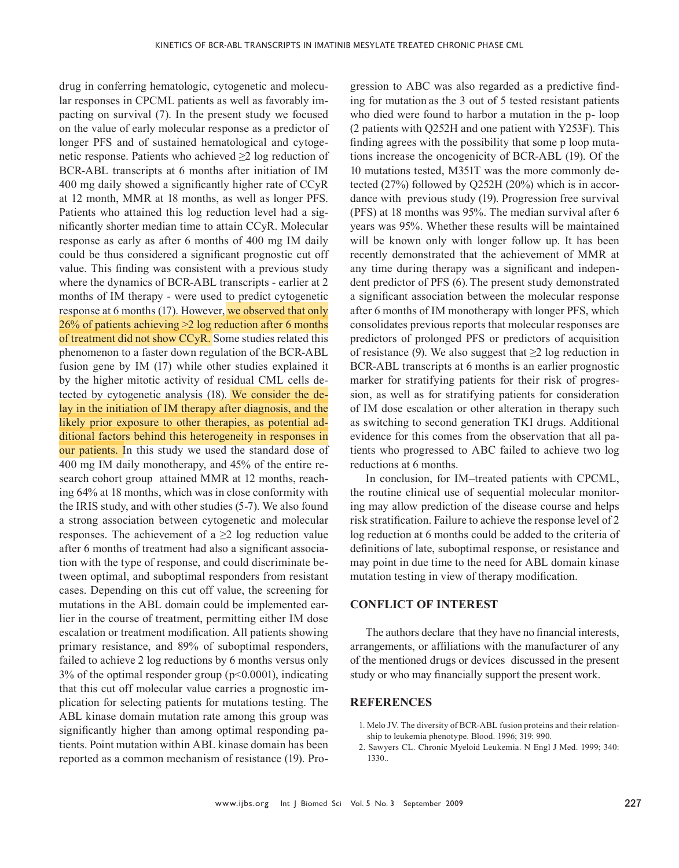drug in conferring hematologic, cytogenetic and molecular responses in CPCML patients as well as favorably impacting on survival (7). In the present study we focused on the value of early molecular response as a predictor of longer PFS and of sustained hematological and cytogenetic response. Patients who achieved  $\geq 2$  log reduction of BCR-ABL transcripts at 6 months after initiation of IM 400 mg daily showed a signifcantly higher rate of CCyR at 12 month, MMR at 18 months, as well as longer PFS. Patients who attained this log reduction level had a signifcantly shorter median time to attain CCyR. Molecular response as early as after 6 months of 400 mg IM daily could be thus considered a signifcant prognostic cut off value. This fnding was consistent with a previous study where the dynamics of BCR-ABL transcripts - earlier at 2 months of IM therapy - were used to predict cytogenetic response at 6 months (17). However, we observed that only 26% of patients achieving >2 log reduction after 6 months of treatment did not show CCyR. Some studies related this phenomenon to a faster down regulation of the BCR-ABL fusion gene by IM (17) while other studies explained it by the higher mitotic activity of residual CML cells detected by cytogenetic analysis (18). We consider the delay in the initiation of IM therapy after diagnosis, and the likely prior exposure to other therapies, as potential additional factors behind this heterogeneity in responses in our patients. In this study we used the standard dose of 400 mg IM daily monotherapy, and 45% of the entire research cohort group attained MMR at 12 months, reaching 64% at 18 months, which was in close conformity with the IRIS study, and with other studies (5-7). We also found a strong association between cytogenetic and molecular responses. The achievement of a  $\geq 2$  log reduction value after 6 months of treatment had also a signifcant association with the type of response, and could discriminate between optimal, and suboptimal responders from resistant cases. Depending on this cut off value, the screening for mutations in the ABL domain could be implemented earlier in the course of treatment, permitting either IM dose escalation or treatment modifcation. All patients showing primary resistance, and 89% of suboptimal responders, failed to achieve 2 log reductions by 6 months versus only  $3\%$  of the optimal responder group ( $p<0.0001$ ), indicating that this cut off molecular value carries a prognostic implication for selecting patients for mutations testing. The ABL kinase domain mutation rate among this group was signifcantly higher than among optimal responding patients. Point mutation within ABL kinase domain has been reported as a common mechanism of resistance (19). Pro-

gression to ABC was also regarded as a predictive fnding for mutation as the 3 out of 5 tested resistant patients who died were found to harbor a mutation in the p- loop (2 patients with Q252H and one patient with Y253F). This fnding agrees with the possibility that some p loop mutations increase the oncogenicity of BCR-ABL (19). Of the 10 mutations tested, M351T was the more commonly detected (27%) followed by Q252H (20%) which is in accordance with previous study (19). Progression free survival (PFS) at 18 months was 95%. The median survival after 6 years was 95%. Whether these results will be maintained will be known only with longer follow up. It has been recently demonstrated that the achievement of MMR at any time during therapy was a signifcant and independent predictor of PFS (6). The present study demonstrated a signifcant association between the molecular response after 6 months of IM monotherapy with longer PFS, which consolidates previous reports that molecular responses are predictors of prolonged PFS or predictors of acquisition of resistance (9). We also suggest that  $\geq 2$  log reduction in BCR-ABL transcripts at 6 months is an earlier prognostic marker for stratifying patients for their risk of progression, as well as for stratifying patients for consideration of IM dose escalation or other alteration in therapy such as switching to second generation TKI drugs. Additional evidence for this comes from the observation that all patients who progressed to ABC failed to achieve two log reductions at 6 months.

In conclusion, for IM–treated patients with CPCML, the routine clinical use of sequential molecular monitoring may allow prediction of the disease course and helps risk stratifcation. Failure to achieve the response level of 2 log reduction at 6 months could be added to the criteria of defnitions of late, suboptimal response, or resistance and may point in due time to the need for ABL domain kinase mutation testing in view of therapy modifcation.

# **CONFLICT OF INTEREST**

The authors declare that they have no fnancial interests, arrangements, or affliations with the manufacturer of any of the mentioned drugs or devices discussed in the present study or who may fnancially support the present work.

# **REFERENCES**

- 1. Melo JV. The diversity of BCR-ABL fusion proteins and their relationship to leukemia phenotype. Blood. 1996; 319: 990.
- 2. Sawyers CL. Chronic Myeloid Leukemia. N Engl J Med. 1999; 340: 1330..